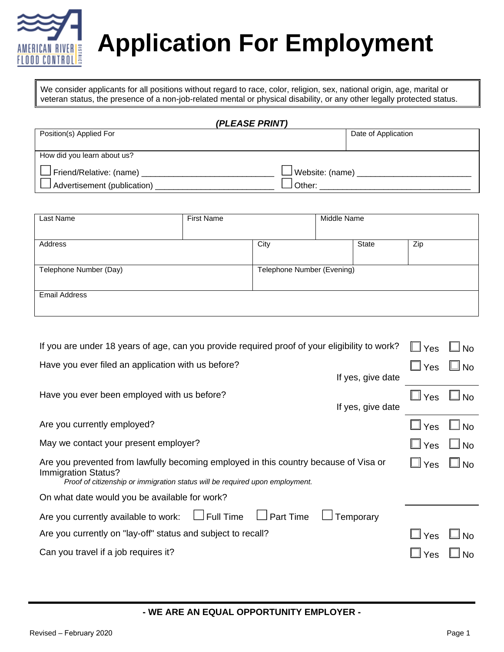

# **Application For Employment**

We consider applicants for all positions without regard to race, color, religion, sex, national origin, age, marital or veteran status, the presence of a non-job-related mental or physical disability, or any other legally protected status.

| (PLEASE PRINT)                        |                        |  |  |  |
|---------------------------------------|------------------------|--|--|--|
| Position(s) Applied For               | Date of Application    |  |  |  |
|                                       |                        |  |  |  |
| How did you learn about us?           |                        |  |  |  |
| $\Box$ Friend/Relative: (name) $\Box$ | $\Box$ Website: (name) |  |  |  |
| $\Box$ Advertisement (publication)    | Other:                 |  |  |  |

| Last Name              | <b>First Name</b> |                            | Middle Name |       |     |
|------------------------|-------------------|----------------------------|-------------|-------|-----|
|                        |                   |                            |             |       |     |
| Address                |                   | City                       |             | State | Zip |
|                        |                   |                            |             |       |     |
| Telephone Number (Day) |                   | Telephone Number (Evening) |             |       |     |
|                        |                   |                            |             |       |     |
| <b>Email Address</b>   |                   |                            |             |       |     |
|                        |                   |                            |             |       |     |

| If you are under 18 years of age, can you provide required proof of your eligibility to work?                                                                                               | $\Box$ Yes    | No           |
|---------------------------------------------------------------------------------------------------------------------------------------------------------------------------------------------|---------------|--------------|
| Have you ever filed an application with us before?<br>If yes, give date                                                                                                                     | $\square$ Yes | $\Box$ No    |
| Have you ever been employed with us before?<br>If yes, give date                                                                                                                            | $\Box$ Yes    | $\square$ No |
| Are you currently employed?                                                                                                                                                                 | $\Box$ Yes    | <b>No</b>    |
| May we contact your present employer?                                                                                                                                                       | $\Box$ Yes    | <b>No</b>    |
| Are you prevented from lawfully becoming employed in this country because of Visa or<br>Immigration Status?<br>Proof of citizenship or immigration status will be required upon employment. | $\Box$ Yes    | ∐l No        |
| On what date would you be available for work?                                                                                                                                               |               |              |
| Are you currently available to work: $\Box$ Full Time $\Box$ Part Time<br>$\Box$ Temporary                                                                                                  |               |              |
| Are you currently on "lay-off" status and subject to recall?                                                                                                                                | $\Box$ Yes    | No           |
| Can you travel if a job requires it?                                                                                                                                                        | Yes           |              |

**- WE ARE AN EQUAL OPPORTUNITY EMPLOYER -**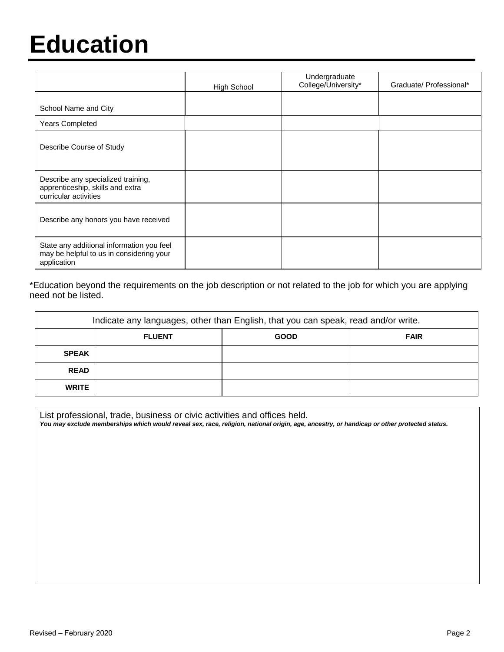### **Education**

|                                                                                                      | <b>High School</b> | Undergraduate<br>College/University* | Graduate/ Professional* |
|------------------------------------------------------------------------------------------------------|--------------------|--------------------------------------|-------------------------|
| School Name and City                                                                                 |                    |                                      |                         |
| <b>Years Completed</b>                                                                               |                    |                                      |                         |
| Describe Course of Study                                                                             |                    |                                      |                         |
| Describe any specialized training,<br>apprenticeship, skills and extra<br>curricular activities      |                    |                                      |                         |
| Describe any honors you have received                                                                |                    |                                      |                         |
| State any additional information you feel<br>may be helpful to us in considering your<br>application |                    |                                      |                         |

\*Education beyond the requirements on the job description or not related to the job for which you are applying need not be listed.

| Indicate any languages, other than English, that you can speak, read and/or write. |               |             |             |  |  |
|------------------------------------------------------------------------------------|---------------|-------------|-------------|--|--|
|                                                                                    | <b>FLUENT</b> | <b>GOOD</b> | <b>FAIR</b> |  |  |
| <b>SPEAK</b>                                                                       |               |             |             |  |  |
| <b>READ</b>                                                                        |               |             |             |  |  |
| <b>WRITE</b>                                                                       |               |             |             |  |  |

List professional, trade, business or civic activities and offices held.

*You may exclude memberships which would reveal sex, race, religion, national origin, age, ancestry, or handicap or other protected status.*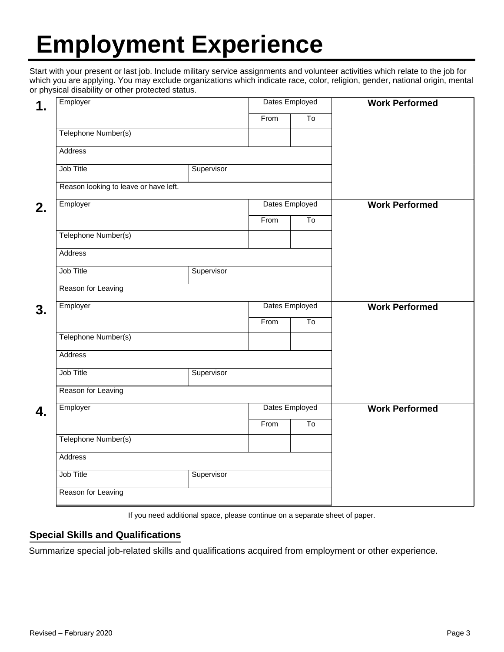## **Employment Experience**

Start with your present or last job. Include military service assignments and volunteer activities which relate to the job for which you are applying. You may exclude organizations which indicate race, color, religion, gender, national origin, mental or physical disability or other protected status.

| Employer                              |                | Dates Employed |                           | <b>Work Performed</b> |  |
|---------------------------------------|----------------|----------------|---------------------------|-----------------------|--|
|                                       |                | From           | $\overline{\mathsf{T}}$ o |                       |  |
| Telephone Number(s)                   |                |                |                           |                       |  |
| Address                               |                |                |                           |                       |  |
| Job Title                             | Supervisor     |                |                           |                       |  |
| Reason looking to leave or have left. |                |                |                           |                       |  |
| Employer                              | Dates Employed |                |                           | <b>Work Performed</b> |  |
|                                       |                | From           | $\overline{\text{To}}$    |                       |  |
| Telephone Number(s)                   |                |                |                           |                       |  |
| Address                               |                |                |                           |                       |  |
| Job Title                             | Supervisor     |                |                           |                       |  |
| Reason for Leaving                    |                |                |                           |                       |  |
| Employer                              |                |                | Dates Employed            | <b>Work Performed</b> |  |
|                                       |                | From           | To                        |                       |  |
| Telephone Number(s)                   |                |                |                           |                       |  |
| Address                               |                |                |                           |                       |  |
| Job Title                             | Supervisor     |                |                           |                       |  |
| Reason for Leaving                    |                |                |                           |                       |  |
| Employer                              |                | Dates Employed |                           | <b>Work Performed</b> |  |
|                                       |                |                |                           |                       |  |
|                                       |                | From           | To                        |                       |  |
| Telephone Number(s)                   |                |                |                           |                       |  |
| Address                               |                |                |                           |                       |  |

If you need additional space, please continue on a separate sheet of paper.

#### **Special Skills and Qualifications**

Summarize special job-related skills and qualifications acquired from employment or other experience.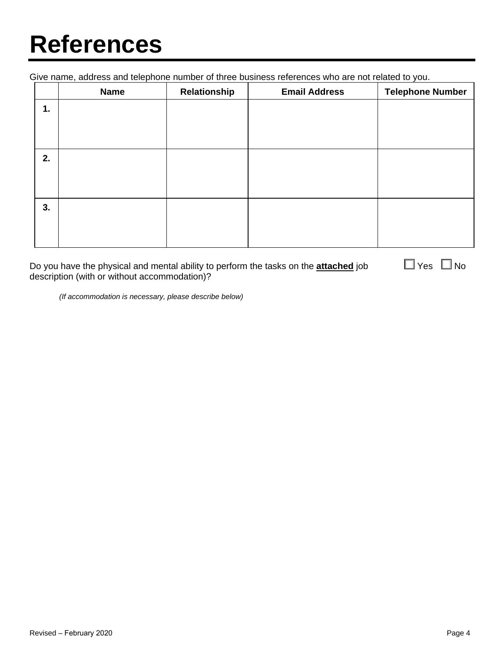## **References**

Give name, address and telephone number of three business references who are not related to you.

|    | <b>Name</b> | Relationship | <b>Email Address</b> | <b>Telephone Number</b> |
|----|-------------|--------------|----------------------|-------------------------|
| 1. |             |              |                      |                         |
|    |             |              |                      |                         |
|    |             |              |                      |                         |
| 2. |             |              |                      |                         |
|    |             |              |                      |                         |
|    |             |              |                      |                         |
| 3. |             |              |                      |                         |
|    |             |              |                      |                         |
|    |             |              |                      |                         |

Do you have the physical and mental ability to perform the tasks on the **attached** job  $\Box$  Yes  $\Box$  No description (with or without accommodation)?

*(If accommodation is necessary, please describe below)*